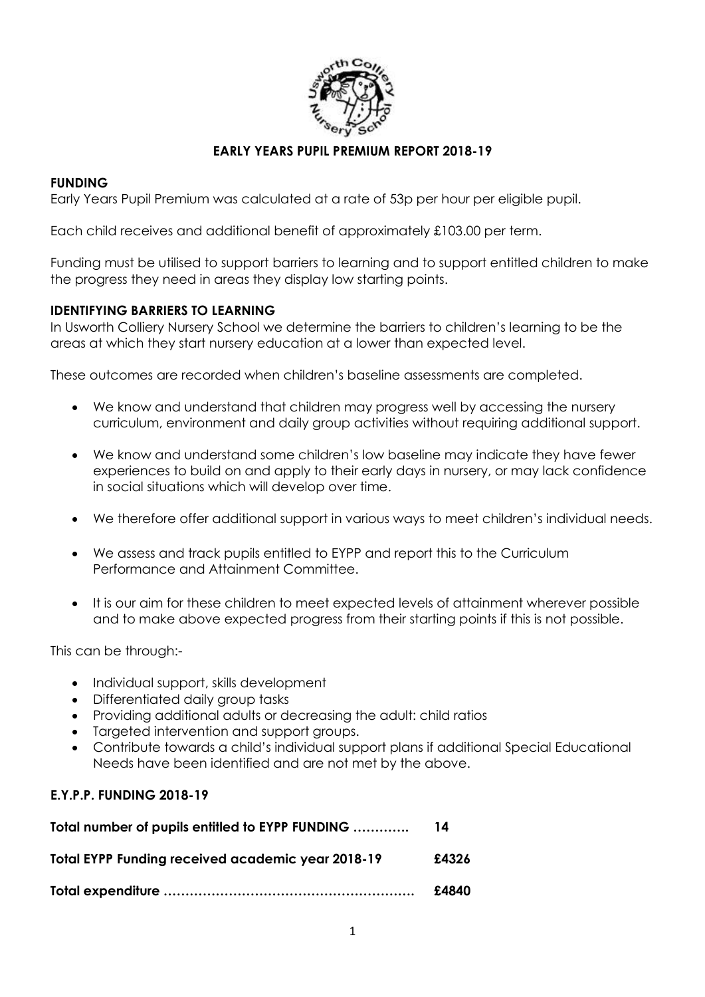

### **EARLY YEARS PUPIL PREMIUM REPORT 2018-19**

#### **FUNDING**

Early Years Pupil Premium was calculated at a rate of 53p per hour per eligible pupil.

Each child receives and additional benefit of approximately £103.00 per term.

Funding must be utilised to support barriers to learning and to support entitled children to make the progress they need in areas they display low starting points.

#### **IDENTIFYING BARRIERS TO LEARNING**

In Usworth Colliery Nursery School we determine the barriers to children's learning to be the areas at which they start nursery education at a lower than expected level.

These outcomes are recorded when children's baseline assessments are completed.

- We know and understand that children may progress well by accessing the nursery curriculum, environment and daily group activities without requiring additional support.
- We know and understand some children's low baseline may indicate they have fewer experiences to build on and apply to their early days in nursery, or may lack confidence in social situations which will develop over time.
- We therefore offer additional support in various ways to meet children's individual needs.
- We assess and track pupils entitled to EYPP and report this to the Curriculum Performance and Attainment Committee.
- It is our aim for these children to meet expected levels of attainment wherever possible and to make above expected progress from their starting points if this is not possible.

This can be through:-

- Individual support, skills development
- Differentiated daily group tasks
- Providing additional adults or decreasing the adult: child ratios
- Targeted intervention and support groups.
- Contribute towards a child's individual support plans if additional Special Educational Needs have been identified and are not met by the above.

#### **E.Y.P.P. FUNDING 2018-19**

| Total number of pupils entitled to EYPP FUNDING   | 14    |
|---------------------------------------------------|-------|
| Total EYPP Funding received academic year 2018-19 | £4326 |
|                                                   | £4840 |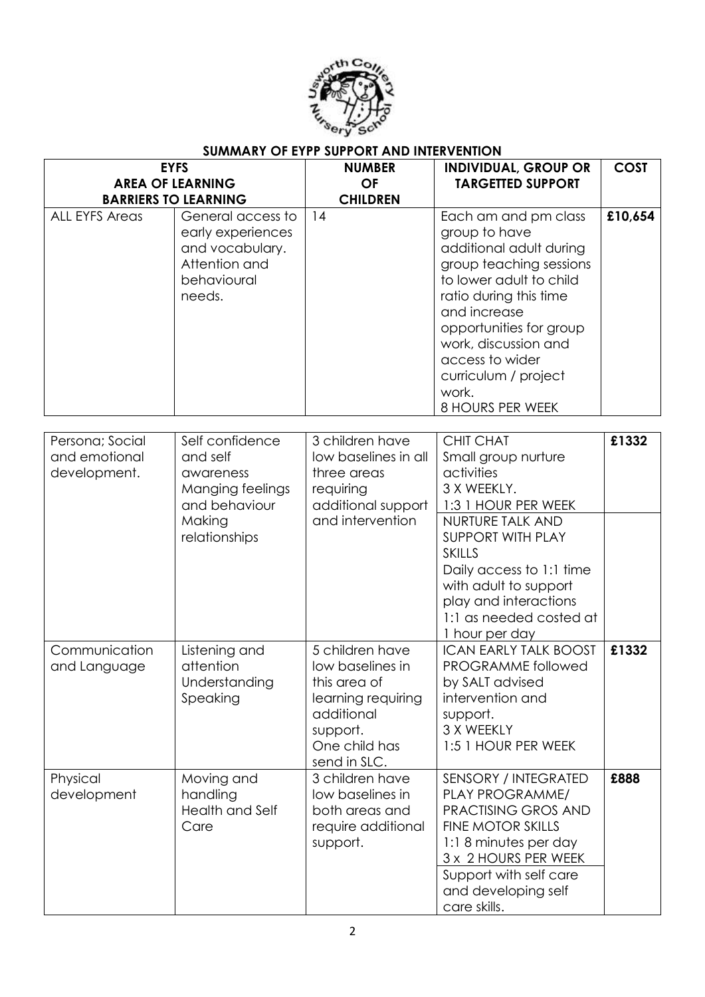

# **SUMMARY OF EYPP SUPPORT AND INTERVENTION**

| <b>EYFS</b>                                      |                                                                                                          | <b>NUMBER</b><br><b>INDIVIDUAL, GROUP OR</b>                                                                                         |                                                                                                                                                                                                                                                                                             | <b>COST</b> |
|--------------------------------------------------|----------------------------------------------------------------------------------------------------------|--------------------------------------------------------------------------------------------------------------------------------------|---------------------------------------------------------------------------------------------------------------------------------------------------------------------------------------------------------------------------------------------------------------------------------------------|-------------|
| <b>AREA OF LEARNING</b>                          |                                                                                                          | <b>OF</b>                                                                                                                            | <b>TARGETTED SUPPORT</b>                                                                                                                                                                                                                                                                    |             |
| <b>BARRIERS TO LEARNING</b>                      |                                                                                                          | <b>CHILDREN</b>                                                                                                                      |                                                                                                                                                                                                                                                                                             |             |
| <b>ALL EYFS Areas</b>                            | General access to<br>early experiences<br>and vocabulary.<br>Attention and<br>behavioural<br>needs.      | 14                                                                                                                                   | Each am and pm class<br>group to have<br>additional adult during<br>group teaching sessions<br>to lower adult to child<br>ratio during this time<br>and increase<br>opportunities for group<br>work, discussion and<br>access to wider<br>curriculum / project<br>work.<br>8 HOURS PER WEEK | £10,654     |
|                                                  |                                                                                                          |                                                                                                                                      |                                                                                                                                                                                                                                                                                             |             |
| Persona; Social<br>and emotional<br>development. | Self confidence<br>and self<br>awareness<br>Manging feelings<br>and behaviour<br>Making<br>relationships | 3 children have<br>low baselines in all<br>three areas<br>requiring<br>additional support<br>and intervention                        | <b>CHIT CHAT</b><br>Small group nurture<br>activities<br>3 X WEEKLY.<br>1:3 1 HOUR PER WEEK<br>NURTURE TALK AND<br><b>SUPPORT WITH PLAY</b><br><b>SKILLS</b><br>Daily access to 1:1 time                                                                                                    | £1332       |
|                                                  |                                                                                                          |                                                                                                                                      | with adult to support<br>play and interactions<br>1:1 as needed costed at<br>1 hour per day                                                                                                                                                                                                 |             |
| Communication<br>and Language                    | Listening and<br>attention<br>Understanding<br>Speaking                                                  | 5 children have<br>low baselines in<br>this area of<br>learning requiring<br>additional<br>support.<br>One child has<br>send in SLC. | <b>ICAN EARLY TALK BOOST</b><br>PROGRAMME followed<br>by SALT advised<br>intervention and<br>support.<br>3 X WEEKLY<br>1:5 1 HOUR PER WEEK                                                                                                                                                  | £1332       |
| Physical<br>development                          | Moving and<br>handling<br><b>Health and Self</b><br>Care                                                 | 3 children have<br>low baselines in<br>both areas and<br>require additional<br>support.                                              | SENSORY / INTEGRATED<br>PLAY PROGRAMME/<br>PRACTISING GROS AND<br><b>FINE MOTOR SKILLS</b><br>1:18 minutes per day<br>3 x 2 HOURS PER WEEK<br>Support with self care<br>and developing self<br>care skills.                                                                                 | £888        |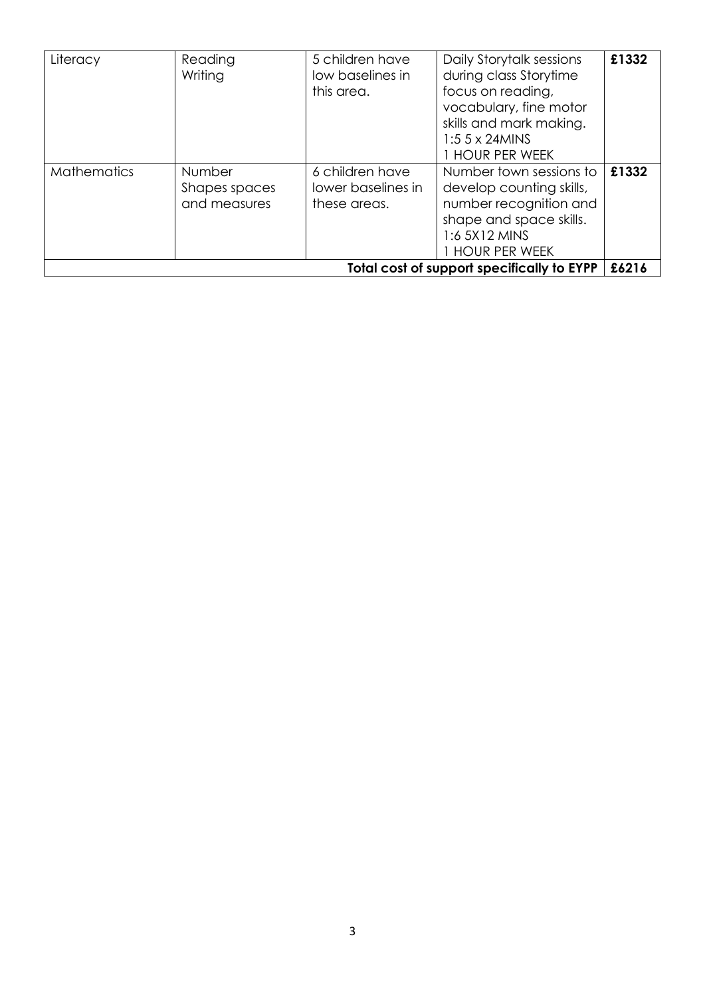| Literacy                                   | Reading<br>Writing                             | 5 children have<br>low baselines in<br>this area.     | Daily Storytalk sessions<br>during class Storytime<br>focus on reading,<br>vocabulary, fine motor<br>skills and mark making.<br>$1:55 \times 24$ MINS<br><b>HOUR PER WEEK</b> | £1332 |
|--------------------------------------------|------------------------------------------------|-------------------------------------------------------|-------------------------------------------------------------------------------------------------------------------------------------------------------------------------------|-------|
| <b>Mathematics</b>                         | <b>Number</b><br>Shapes spaces<br>and measures | 6 children have<br>lower baselines in<br>these areas. | Number town sessions to<br>develop counting skills,<br>number recognition and<br>shape and space skills.<br>1:6 5X12 MINS<br>1 hour per week                                  | £1332 |
| Total cost of support specifically to EYPP |                                                |                                                       |                                                                                                                                                                               | £6216 |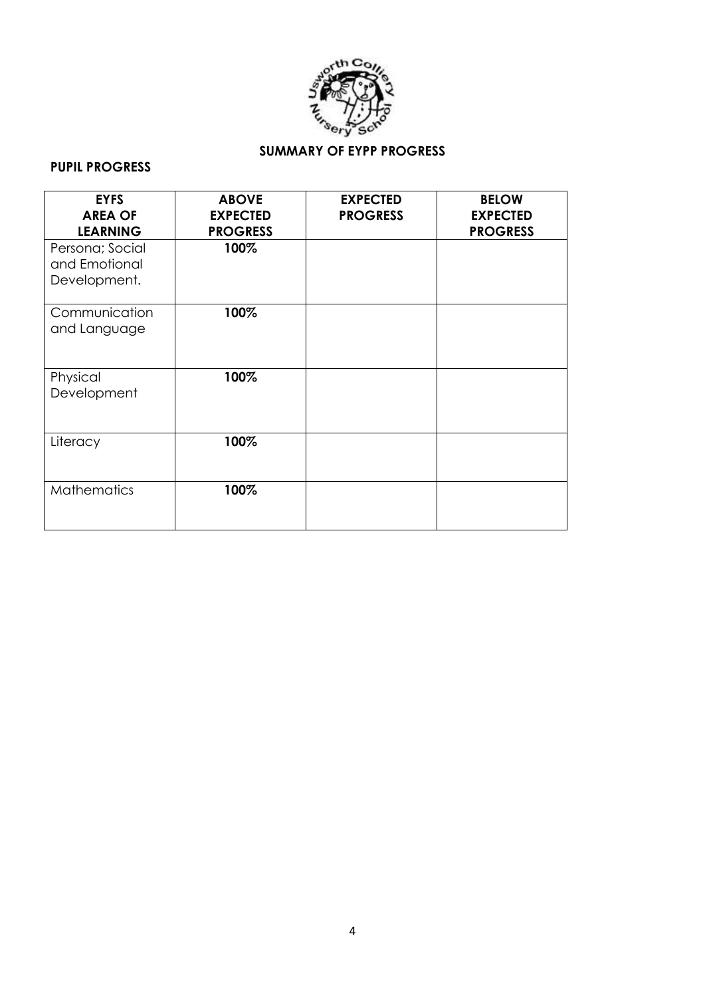

# **SUMMARY OF EYPP PROGRESS**

## **PUPIL PROGRESS**

| <b>EYFS</b><br><b>AREA OF</b><br><b>LEARNING</b> | <b>ABOVE</b><br><b>EXPECTED</b><br><b>PROGRESS</b> | <b>EXPECTED</b><br><b>PROGRESS</b> | <b>BELOW</b><br><b>EXPECTED</b><br><b>PROGRESS</b> |
|--------------------------------------------------|----------------------------------------------------|------------------------------------|----------------------------------------------------|
| Persona; Social<br>and Emotional<br>Development. | 100%                                               |                                    |                                                    |
| Communication<br>and Language                    | 100%                                               |                                    |                                                    |
| Physical<br>Development                          | 100%                                               |                                    |                                                    |
| Literacy                                         | 100%                                               |                                    |                                                    |
| <b>Mathematics</b>                               | 100%                                               |                                    |                                                    |